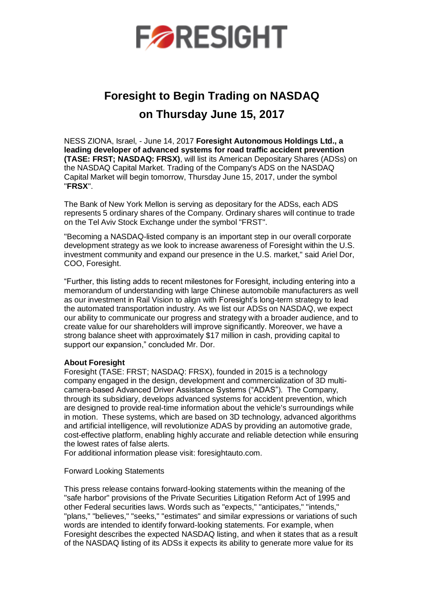

## **Foresight to Begin Trading on NASDAQ on Thursday June 15, 2017**

NESS ZIONA, Israel, - June 14, 2017 **Foresight Autonomous Holdings Ltd., a leading developer of advanced systems for road traffic accident prevention (TASE: FRST; NASDAQ: FRSX)**, will list its American Depositary Shares (ADSs) on the NASDAQ Capital Market. Trading of the Company's ADS on the NASDAQ Capital Market will begin tomorrow, Thursday June 15, 2017, under the symbol "**FRSX**".

The Bank of New York Mellon is serving as depositary for the ADSs, each ADS represents 5 ordinary shares of the Company. Ordinary shares will continue to trade on the Tel Aviv Stock Exchange under the symbol "FRST".

"Becoming a NASDAQ-listed company is an important step in our overall corporate development strategy as we look to increase awareness of Foresight within the U.S. investment community and expand our presence in the U.S. market," said Ariel Dor, COO, Foresight.

"Further, this listing adds to recent milestones for Foresight, including entering into a memorandum of understanding with large Chinese automobile manufacturers as well as our investment in Rail Vision to align with Foresight's long-term strategy to lead the automated transportation industry. As we list our ADSs on NASDAQ, we expect our ability to communicate our progress and strategy with a broader audience, and to create value for our shareholders will improve significantly. Moreover, we have a strong balance sheet with approximately \$17 million in cash, providing capital to support our expansion," concluded Mr. Dor.

## **About Foresight**

Foresight (TASE: FRST; NASDAQ: FRSX), founded in 2015 is a technology company engaged in the design, development and commercialization of 3D multicamera-based Advanced Driver Assistance Systems ("ADAS"). The Company, through its subsidiary, develops advanced systems for accident prevention, which are designed to provide real-time information about the vehicle's surroundings while in motion. These systems, which are based on 3D technology, advanced algorithms and artificial intelligence, will revolutionize ADAS by providing an automotive grade, cost-effective platform, enabling highly accurate and reliable detection while ensuring the lowest rates of false alerts.

For additional information please visit: foresightauto.com.

## Forward Looking Statements

This press release contains forward-looking statements within the meaning of the "safe harbor" provisions of the Private Securities Litigation Reform Act of 1995 and other Federal securities laws. Words such as "expects," "anticipates," "intends," "plans," "believes," "seeks," "estimates" and similar expressions or variations of such words are intended to identify forward-looking statements. For example, when Foresight describes the expected NASDAQ listing, and when it states that as a result of the NASDAQ listing of its ADSs it expects its ability to generate more value for its